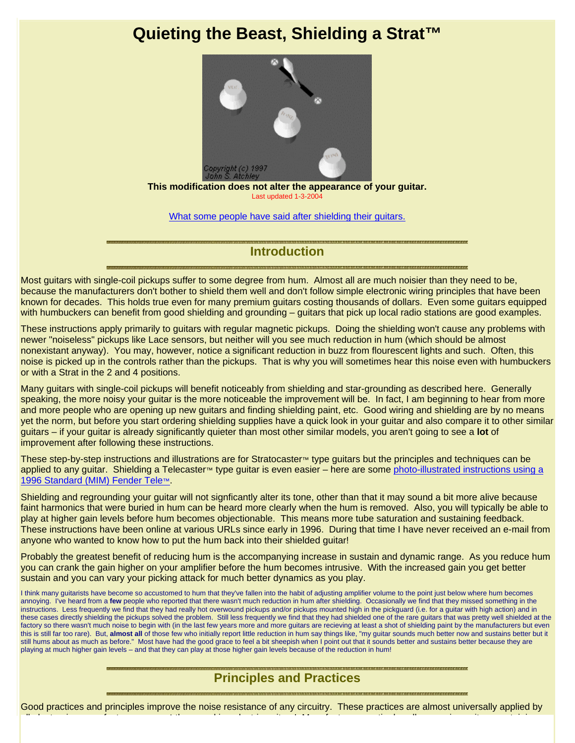# **Quieting the Beast, Shielding a Strat™**



**This modification does not alter the appearance of your guitar.** Last updated 1-3-200

What some people have said after shielding their guitars.

### **Introduction**

Most guitars with single-coil pickups suffer to some degree from hum. Almost all are much noisier than they need to be, because the manufacturers don't bother to shield them well and don't follow simple electronic wiring principles that have been known for decades. This holds true even for many premium guitars costing thousands of dollars. Even some guitars equipped with humbuckers can benefit from good shielding and grounding – guitars that pick up local radio stations are good examples.

These instructions apply primarily to guitars with regular magnetic pickups. Doing the shielding won't cause any problems with newer "noiseless" pickups like Lace sensors, but neither will you see much reduction in hum (which should be almost nonexistant anyway). You may, however, notice a significant reduction in buzz from flourescent lights and such. Often, this noise is picked up in the controls rather than the pickups. That is why you will sometimes hear this noise even with humbuckers or with a Strat in the 2 and 4 positions.

Many guitars with single-coil pickups will benefit noticeably from shielding and star-grounding as described here. Generally speaking, the more noisy your guitar is the more noticeable the improvement will be. In fact, I am beginning to hear from more and more people who are opening up new guitars and finding shielding paint, etc. Good wiring and shielding are by no means yet the norm, but before you start ordering shielding supplies have a quick look in your guitar and also compare it to other similar guitars – if your guitar is already significantly quieter than most other similar models, you aren't going to see a **lot** of improvement after following these instructions.

These step-by-step instructions and illustrations are for Stratocaster™ type guitars but the principles and techniques can be applied to any guitar. Shielding a Telecaster™ type guitar is even easier – here are some photo-illustrated instructions using a 1996 Standard (MIM) Fender Tele™.

Shielding and regrounding your guitar will not signficantly alter its tone, other than that it may sound a bit more alive because faint harmonics that were buried in hum can be heard more clearly when the hum is removed. Also, you will typically be able to play at higher gain levels before hum becomes objectionable. This means more tube saturation and sustaining feedback. These instructions have been online at various URLs since early in 1996. During that time I have never received an e-mail from anyone who wanted to know how to put the hum back into their shielded guitar!

Probably the greatest benefit of reducing hum is the accompanying increase in sustain and dynamic range. As you reduce hum you can crank the gain higher on your amplifier before the hum becomes intrusive. With the increased gain you get better sustain and you can vary your picking attack for much better dynamics as you play.

I think many guitarists have become so accustomed to hum that they've fallen into the habit of adjusting amplifier volume to the point just below where hum becomes annoying. I've heard from a **few** people who reported that there wasn't much reduction in hum after shielding. Occasionally we find that they missed something in the instructions. Less frequently we find that they had really hot overwound pickups and/or pickups mounted high in the pickguard (i.e. for a guitar with high action) and in these cases directly shielding the pickups solved the problem. Still less frequently we find that they had shielded one of the rare guitars that was pretty well shielded at the factory so there wasn't much noise to begin with (in the last few years more and more guitars are recieving at least a shot of shielding paint by the manufacturers but even this is still far too rare). But, almost all of those few who initially report little reduction in hum say things like, "my guitar sounds much better now and sustains better but it still hums about as much as before." Most have had the good grace to feel a bit sheepish when I point out that it sounds better and sustains better because they are playing at much higher gain levels – and that they can play at those higher gain levels because of the reduction in hum!

# **Principles and Practices**

Good practices and principles improve the noise resistance of any circuitry. These practices are almost universally applied by

ll l t i f t **t** th ki l t i it ! M f t ti l ll i it t i i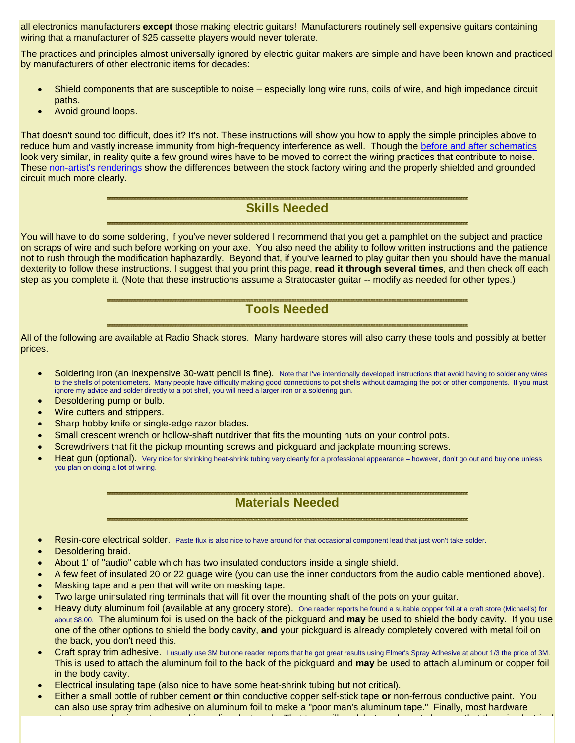all electronics manufacturers **except** those making electric guitars! Manufacturers routinely sell expensive guitars containing wiring that a manufacturer of \$25 cassette players would never tolerate.

The practices and principles almost universally ignored by electric guitar makers are simple and have been known and practiced by manufacturers of other electronic items for decades:

- Shield components that are susceptible to noise especially long wire runs, coils of wire, and high impedance circuit paths.
- Avoid ground loops.

That doesn't sound too difficult, does it? It's not. These instructions will show you how to apply the simple principles above to reduce hum and vastly increase immunity from high-frequency interference as well. Though the before and after schematics look very similar, in reality quite a few ground wires have to be moved to correct the wiring practices that contribute to noise. These non-artist's renderings show the differences between the stock factory wiring and the properly shielded and grounded circuit much more clearly.

### **Skills Needed**

You will have to do some soldering, if you've never soldered I recommend that you get a pamphlet on the subject and practice on scraps of wire and such before working on your axe. You also need the ability to follow written instructions and the patience not to rush through the modification haphazardly. Beyond that, if you've learned to play guitar then you should have the manual dexterity to follow these instructions. I suggest that you print this page, **read it through several times**, and then check off each step as you complete it. (Note that these instructions assume a Stratocaster guitar -- modify as needed for other types.)

### **Tools Needed**

All of the following are available at Radio Shack stores. Many hardware stores will also carry these tools and possibly at better prices.

- Soldering iron (an inexpensive 30-watt pencil is fine). Note that I've intentionally developed instructions that avoid having to solder any wires to the shells of potentiometers. Many people have difficulty making good connections to pot shells without damaging the pot or other components. If you must ignore my advice and solder directly to a pot shell, you will need a larger iron or a soldering gun.
- Desoldering pump or bulb.
- Wire cutters and strippers.
- Sharp hobby knife or single-edge razor blades.
- Small crescent wrench or hollow-shaft nutdriver that fits the mounting nuts on your control pots.
- Screwdrivers that fit the pickup mounting screws and pickguard and jackplate mounting screws.
- Heat qun (optional). Very nice for shrinking heat-shrink tubing very cleanly for a professional appearance however, don't go out and buy one unless you plan on doing a **lot** of wiring.

# **Materials Needed**

- Resin-core electrical solder. Paste flux is also nice to have around for that occasional component lead that just won't take solder.
- Desoldering braid.
- About 1' of "audio" cable which has two insulated conductors inside a single shield.
- A few feet of insulated 20 or 22 guage wire (you can use the inner conductors from the audio cable mentioned above).
- Masking tape and a pen that will write on masking tape.
- Two large uninsulated ring terminals that will fit over the mounting shaft of the pots on your guitar.
- Heavy duty aluminum foil (available at any grocery store). One reader reports he found a suitable copper foil at a craft store (Michael's) for about \$8.00. The aluminum foil is used on the back of the pickguard and **may** be used to shield the body cavity. If you use one of the other options to shield the body cavity, **and** your pickguard is already completely covered with metal foil on the back, you don't need this.
- Craft spray trim adhesive. I usually use 3M but one reader reports that he got great results using Elmer's Spray Adhesive at about 1/3 the price of 3M. This is used to attach the aluminum foil to the back of the pickguard and **may** be used to attach aluminum or copper foil in the body cavity.
- Electrical insulating tape (also nice to have some heat-shrink tubing but not critical).
- Either a small bottle of rubber cement **or** thin conductive copper self-stick tape **or** non-ferrous conductive paint. You can also use spray trim adhesive on aluminum foil to make a "poor man's aluminum tape." Finally, most hardware

t l i t d i li d t k Th t t ill k b t h t b th t th i l t i l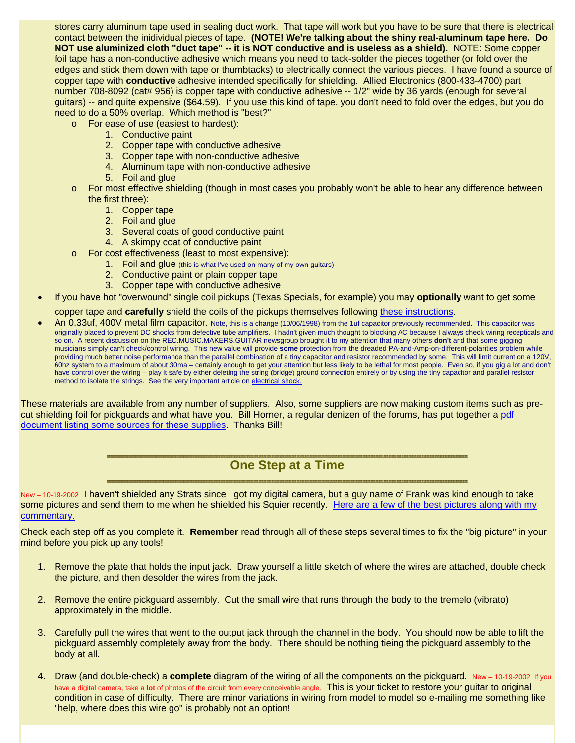stores carry aluminum tape used in sealing duct work. That tape will work but you have to be sure that there is electrical contact between the inidividual pieces of tape. **(NOTE! We're talking about the shiny real-aluminum tape here. Do NOT use aluminized cloth "duct tape" -- it is NOT conductive and is useless as a shield).** NOTE: Some copper foil tape has a non-conductive adhesive which means you need to tack-solder the pieces together (or fold over the edges and stick them down with tape or thumbtacks) to electrically connect the various pieces. I have found a source of copper tape with **conductive** adhesive intended specifically for shielding. Allied Electronics (800-433-4700) part number 708-8092 (cat# 956) is copper tape with conductive adhesive -- 1/2" wide by 36 yards (enough for several guitars) -- and quite expensive (\$64.59). If you use this kind of tape, you don't need to fold over the edges, but you do need to do a 50% overlap. Which method is "best?"

- o For ease of use (easiest to hardest):
	- 1. Conductive paint
	- 2. Copper tape with conductive adhesive
	- 3. Copper tape with non-conductive adhesive
	- 4. Aluminum tape with non-conductive adhesive
	- 5. Foil and glue
- o For most effective shielding (though in most cases you probably won't be able to hear any difference between the first three):
	- 1. Copper tape
	- 2. Foil and glue
	- 3. Several coats of good conductive paint
	- 4. A skimpy coat of conductive paint
- o For cost effectiveness (least to most expensive):
	- 1. Foil and glue (this is what I've used on many of my own guitars)
	- 2. Conductive paint or plain copper tape
	- 3. Copper tape with conductive adhesive
- If you have hot "overwound" single coil pickups (Texas Specials, for example) you may **optionally** want to get some

copper tape and **carefully** shield the coils of the pickups themselves following these instructions.

• An 0.33uf, 400V metal film capacitor. Note, this is a change (10/06/1998) from the 1uf capacitor previously recommended. This capacitor was originally placed to prevent DC shocks from defective tube amplifiers. I hadn't given much thought to blocking AC because I always check wiring recepticals and so on. A recent discussion on the REC.MUSIC.MAKERS.GUITAR newsgroup brought it to my attention that many others **don't** and that some gigging musicians simply can't check/control wiring. This new value will provide **some** protection from the dreaded PA-and-Amp-on-different-polarities problem while providing much better noise performance than the parallel combination of a tiny capacitor and resistor recommended by some. This will limit current on a 120V, 60hz system to a maximum of about 30ma – certainly enough to get your attention but less likely to be lethal for most people. Even so, if you gig a lot and don't have control over the wiring – play it safe by either deleting the string (bridge) ground connection entirely or by using the tiny capacitor and parallel resistor method to isolate the strings. See the very important article on electrical shock.

These materials are available from any number of suppliers. Also, some suppliers are now making custom items such as precut shielding foil for pickguards and what have you. Bill Horner, a regular denizen of the forums, has put together a pdf document listing some sources for these supplies. Thanks Bill!

### **One Step at a Time**

New - 10-19-2002 I haven't shielded any Strats since I got my digital camera, but a guy name of Frank was kind enough to take some pictures and send them to me when he shielded his Squier recently. Here are a few of the best pictures along with my commentary.

Check each step off as you complete it. **Remember** read through all of these steps several times to fix the "big picture" in your mind before you pick up any tools!

- 1. Remove the plate that holds the input jack. Draw yourself a little sketch of where the wires are attached, double check the picture, and then desolder the wires from the jack.
- 2. Remove the entire pickguard assembly. Cut the small wire that runs through the body to the tremelo (vibrato) approximately in the middle.
- 3. Carefully pull the wires that went to the output jack through the channel in the body. You should now be able to lift the pickguard assembly completely away from the body. There should be nothing tieing the pickguard assembly to the body at all.
- 4. Draw (and double-check) a **complete** diagram of the wiring of all the components on the pickguard. New 10-19-2002 If you have a digital camera, take a **lot** of photos of the circuit from every conceivable angle. This is your ticket to restore your guitar to original condition in case of difficulty. There are minor variations in wiring from model to model so e-mailing me something like "help, where does this wire go" is probably not an option!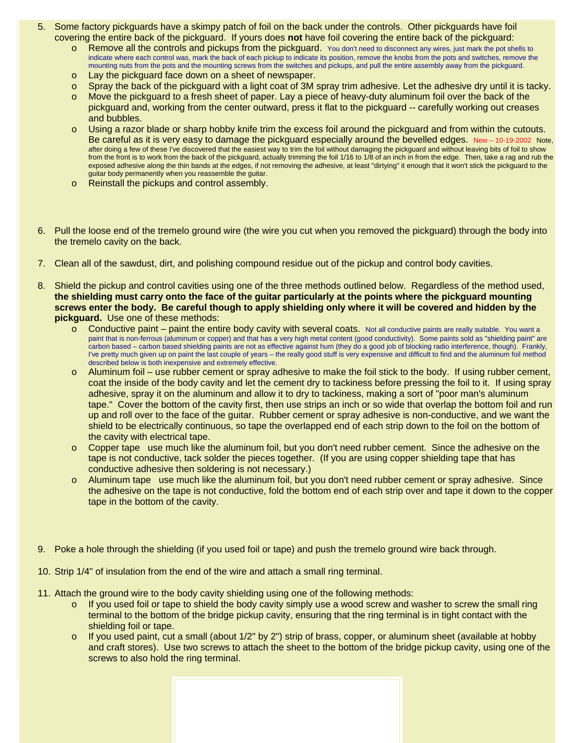- 5. Some factory pickguards have a skimpy patch of foil on the back under the controls. Other pickguards have foil covering the entire back of the pickguard. If yours does **not** have foil covering the entire back of the pickguard:
	- o Remove all the controls and pickups from the pickguard. You don't need to disconnect any wires, just mark the pot shells to indicate where each control was, mark the back of each pickup to indicate its position, remove the knobs from the pots and switches, remove the mounting nuts from the pots and the mounting screws from the switches and pickups, and pull the entire assembly away from the pickguard.
	- o Lay the pickguard face down on a sheet of newspaper.
	- $\circ$  Spray the back of the pickguard with a light coat of 3M spray trim adhesive. Let the adhesive dry until it is tacky.
	- o Move the pickguard to a fresh sheet of paper. Lay a piece of heavy-duty aluminum foil over the back of the pickguard and, working from the center outward, press it flat to the pickguard -- carefully working out creases and bubbles.
	- o Using a razor blade or sharp hobby knife trim the excess foil around the pickguard and from within the cutouts. Be careful as it is very easy to damage the pickguard especially around the bevelled edges. New – 10-19-2002 Note, after doing a few of these I've discovered that the easiest way to trim the foil without damaging the pickguard and without leaving bits of foil to show from the front is to work from the back of the pickguard, actually trimming the foil 1/16 to 1/8 of an inch in from the edge. Then, take a rag and rub the exposed adhesive along the thin bands at the edges, if not removing the adhesive, at least "dirtying" it enough that it won't stick the pickguard to the guitar body permanently when you reassemble the guitar.
	- o Reinstall the pickups and control assembly.
- 6. Pull the loose end of the tremelo ground wire (the wire you cut when you removed the pickguard) through the body into the tremelo cavity on the back.
- 7. Clean all of the sawdust, dirt, and polishing compound residue out of the pickup and control body cavities.
- 8. Shield the pickup and control cavities using one of the three methods outlined below. Regardless of the method used, **the shielding must carry onto the face of the guitar particularly at the points where the pickguard mounting screws enter the body. Be careful though to apply shielding only where it will be covered and hidden by the pickguard.** Use one of these methods:
	- $\circ$  Conductive paint paint the entire body cavity with several coats. Not all conductive paints are really suitable. You want a paint that is non-ferrous (aluminum or copper) and that has a very high metal content (good conductivity). Some paints sold as "shielding paint" are carbon based – carbon based shielding paints are not as effective against hum (they do a good job of blocking radio interference, though). Frankly, I've pretty much given up on paint the last couple of years – the really good stuff is very expensive and difficult to find and the aluminum foil method described below is both inexpensive and extremely effective.
	- $\circ$  Aluminum foil use rubber cement or spray adhesive to make the foil stick to the body. If using rubber cement, coat the inside of the body cavity and let the cement dry to tackiness before pressing the foil to it. If using spray adhesive, spray it on the aluminum and allow it to dry to tackiness, making a sort of "poor man's aluminum tape." Cover the bottom of the cavity first, then use strips an inch or so wide that overlap the bottom foil and run up and roll over to the face of the guitar. Rubber cement or spray adhesive is non-conductive, and we want the shield to be electrically continuous, so tape the overlapped end of each strip down to the foil on the bottom of the cavity with electrical tape.
	- o Copper tape use much like the aluminum foil, but you don't need rubber cement. Since the adhesive on the tape is not conductive, tack solder the pieces together. (If you are using copper shielding tape that has conductive adhesive then soldering is not necessary.)
	- o Aluminum tape use much like the aluminum foil, but you don't need rubber cement or spray adhesive. Since the adhesive on the tape is not conductive, fold the bottom end of each strip over and tape it down to the copper tape in the bottom of the cavity.
- 9. Poke a hole through the shielding (if you used foil or tape) and push the tremelo ground wire back through.
- 10. Strip 1/4" of insulation from the end of the wire and attach a small ring terminal.
- 11. Attach the ground wire to the body cavity shielding using one of the following methods:
	- o If you used foil or tape to shield the body cavity simply use a wood screw and washer to screw the small ring terminal to the bottom of the bridge pickup cavity, ensuring that the ring terminal is in tight contact with the shielding foil or tape.
	- $\circ$  If you used paint, cut a small (about 1/2" by 2") strip of brass, copper, or aluminum sheet (available at hobby and craft stores). Use two screws to attach the sheet to the bottom of the bridge pickup cavity, using one of the screws to also hold the ring terminal.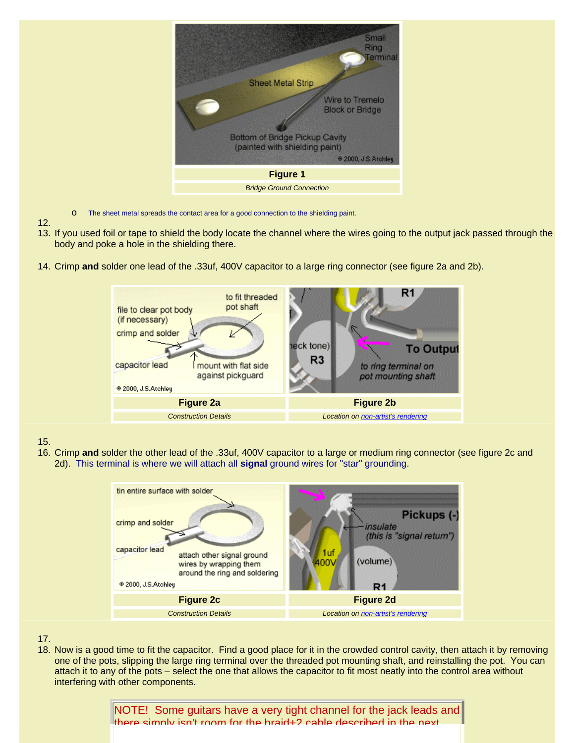

- o The sheet metal spreads the contact area for a good connection to the shielding paint.
- 12.
- 13. If you used foil or tape to shield the body locate the channel where the wires going to the output jack passed through the body and poke a hole in the shielding there.
- 14. Crimp **and** solder one lead of the .33uf, 400V capacitor to a large ring connector (see figure 2a and 2b).



#### 15.

16. Crimp **and** solder the other lead of the .33uf, 400V capacitor to a large or medium ring connector (see figure 2c and 2d). This terminal is where we will attach all **signal** ground wires for "star" grounding.



#### 17.

18. Now is a good time to fit the capacitor. Find a good place for it in the crowded control cavity, then attach it by removing one of the pots, slipping the large ring terminal over the threaded pot mounting shaft, and reinstalling the pot. You can attach it to any of the pots – select the one that allows the capacitor to fit most neatly into the control area without interfering with other components.

> NOTE! Some guitars have a very tight channel for the jack leads and there simply isn't room for the braid+2 cable described in the next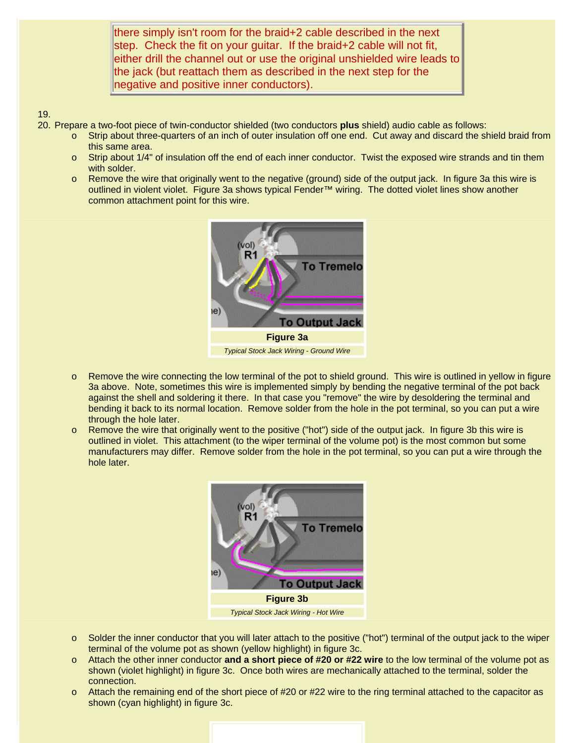there simply isn't room for the braid+2 cable described in the next step. Check the fit on your guitar. If the braid+2 cable will not fit, either drill the channel out or use the original unshielded wire leads to the jack (but reattach them as described in the next step for the negative and positive inner conductors).

#### 19.

20. Prepare a two-foot piece of twin-conductor shielded (two conductors **plus** shield) audio cable as follows:

- o Strip about three-quarters of an inch of outer insulation off one end. Cut away and discard the shield braid from this same area.
- o Strip about 1/4" of insulation off the end of each inner conductor. Twist the exposed wire strands and tin them with solder.
- o Remove the wire that originally went to the negative (ground) side of the output jack. In figure 3a this wire is outlined in violent violet. Figure 3a shows typical Fender™ wiring. The dotted violet lines show another common attachment point for this wire.



- o Remove the wire connecting the low terminal of the pot to shield ground. This wire is outlined in yellow in figure 3a above. Note, sometimes this wire is implemented simply by bending the negative terminal of the pot back against the shell and soldering it there. In that case you "remove" the wire by desoldering the terminal and bending it back to its normal location. Remove solder from the hole in the pot terminal, so you can put a wire through the hole later.
- o Remove the wire that originally went to the positive ("hot") side of the output jack. In figure 3b this wire is outlined in violet. This attachment (to the wiper terminal of the volume pot) is the most common but some manufacturers may differ. Remove solder from the hole in the pot terminal, so you can put a wire through the hole later.



- o Solder the inner conductor that you will later attach to the positive ("hot") terminal of the output jack to the wiper terminal of the volume pot as shown (yellow highlight) in figure 3c.
- o Attach the other inner conductor **and a short piece of #20 or #22 wire** to the low terminal of the volume pot as shown (violet highlight) in figure 3c. Once both wires are mechanically attached to the terminal, solder the connection.
- o Attach the remaining end of the short piece of #20 or #22 wire to the ring terminal attached to the capacitor as shown (cyan highlight) in figure 3c.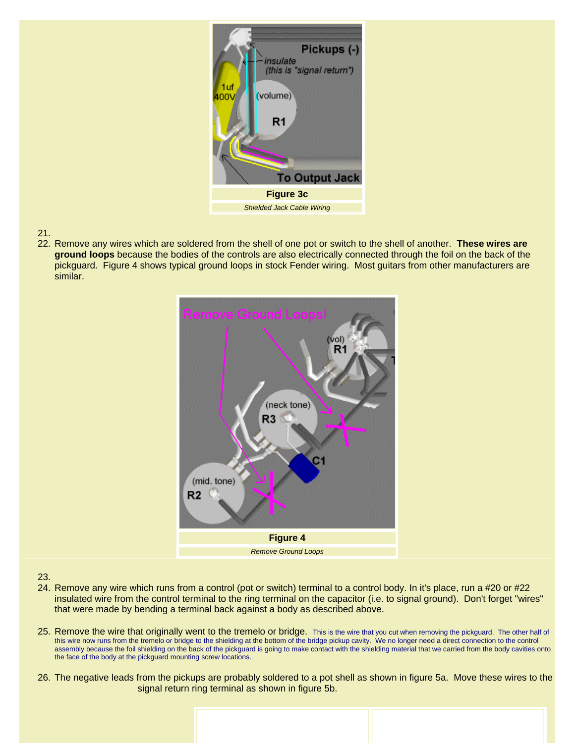

### 21.

22. Remove any wires which are soldered from the shell of one pot or switch to the shell of another. **These wires are ground loops** because the bodies of the controls are also electrically connected through the foil on the back of the pickguard. Figure 4 shows typical ground loops in stock Fender wiring. Most guitars from other manufacturers are similar.



#### 23.

- 24. Remove any wire which runs from a control (pot or switch) terminal to a control body. In it's place, run a #20 or #22 insulated wire from the control terminal to the ring terminal on the capacitor (i.e. to signal ground). Don't forget "wires" that were made by bending a terminal back against a body as described above.
- 25. Remove the wire that originally went to the tremelo or bridge. This is the wire that you cut when removing the pickguard. The other half of this wire now runs from the tremelo or bridge to the shielding at the bottom of the bridge pickup cavity. We no longer need a direct connection to the control assembly because the foil shielding on the back of the pickguard is going to make contact with the shielding material that we carried from the body cavities onto the face of the body at the pickguard mounting screw locations.
- 26. The negative leads from the pickups are probably soldered to a pot shell as shown in figure 5a. Move these wires to the signal return ring terminal as shown in figure 5b.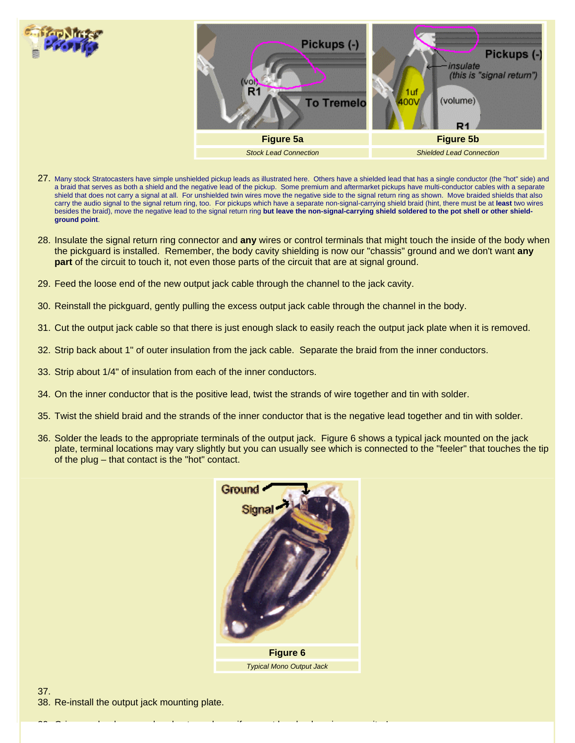

- 27. Many stock Stratocasters have simple unshielded pickup leads as illustrated here. Others have a shielded lead that has a single conductor (the "hot" side) and a braid that serves as both a shield and the negative lead of the pickup. Some premium and aftermarket pickups have multi-conductor cables with a separate shield that does not carry a signal at all. For unshielded twin wires move the negative side to the signal return ring as shown. Move braided shields that also carry the audio signal to the signal return ring, too. For pickups which have a separate non-signal-carrying shield braid (hint, there must be at **least** two wires besides the braid), move the negative lead to the signal return ring **but leave the non-signal-carrying shield soldered to the pot shell or other shieldground point**.
- 28. Insulate the signal return ring connector and **any** wires or control terminals that might touch the inside of the body when the pickguard is installed. Remember, the body cavity shielding is now our "chassis" ground and we don't want **any part** of the circuit to touch it, not even those parts of the circuit that are at signal ground.
- 29. Feed the loose end of the new output jack cable through the channel to the jack cavity.
- 30. Reinstall the pickguard, gently pulling the excess output jack cable through the channel in the body.
- 31. Cut the output jack cable so that there is just enough slack to easily reach the output jack plate when it is removed.
- 32. Strip back about 1" of outer insulation from the jack cable. Separate the braid from the inner conductors.
- 33. Strip about 1/4" of insulation from each of the inner conductors.
- 34. On the inner conductor that is the positive lead, twist the strands of wire together and tin with solder.
- 35. Twist the shield braid and the strands of the inner conductor that is the negative lead together and tin with solder.
- 36. Solder the leads to the appropriate terminals of the output jack. Figure 6 shows a typical jack mounted on the jack plate, terminal locations may vary slightly but you can usually see which is connected to the "feeler" that touches the tip of the plug – that contact is the "hot" contact.



 $\mathbf{39}$  G i l h b d t h b d t h b d t h b d t h b d t h b d t h b  $\mathbf{39}$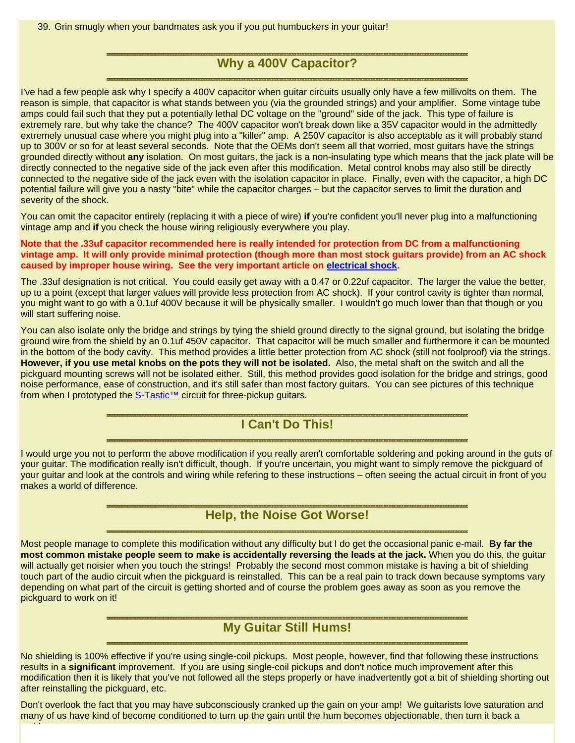39. Grin smugly when your bandmates ask you if you put humbuckers in your guitar!

# **Why a 400V Capacitor?**

I've had a few people ask why I specify a 400V capacitor when guitar circuits usually only have a few millivolts on them. The reason is simple, that capacitor is what stands between you (via the grounded strings) and your amplifier. Some vintage tube amps could fail such that they put a potentially lethal DC voltage on the "ground" side of the jack. This type of failure is extremely rare, but why take the chance? The 400V capacitor won't break down like a 35V capacitor would in the admittedly extremely unusual case where you might plug into a "killer" amp. A 250V capacitor is also acceptable as it will probably stand up to 300V or so for at least several seconds. Note that the OEMs don't seem all that worried, most guitars have the strings grounded directly without **any** isolation. On most guitars, the jack is a non-insulating type which means that the jack plate will be directly connected to the negative side of the jack even after this modification. Metal control knobs may also still be directly connected to the negative side of the jack even with the isolation capacitor in place. Finally, even with the capacitor, a high DC potential failure will give you a nasty "bite" while the capacitor charges – but the capacitor serves to limit the duration and severity of the shock.

You can omit the capacitor entirely (replacing it with a piece of wire) **if** you're confident you'll never plug into a malfunctioning vintage amp and **if** you check the house wiring religiously everywhere you play.

**Note that the .33uf capacitor recommended here is really intended for protection from DC from a malfunctioning vintage amp. It will only provide minimal protection (though more than most stock guitars provide) from an AC shock caused by improper house wiring. See the very important article on electrical shock.**

The .33uf designation is not critical. You could easily get away with a 0.47 or 0.22uf capacitor. The larger the value the better, up to a point (except that larger values will provide less protection from AC shock). If your control cavity is tighter than normal, you might want to go with a 0.1uf 400V because it will be physically smaller. I wouldn't go much lower than that though or you will start suffering noise.

You can also isolate only the bridge and strings by tying the shield ground directly to the signal ground, but isolating the bridge ground wire from the shield by an 0.1uf 450V capacitor. That capacitor will be much smaller and furthermore it can be mounted in the bottom of the body cavity. This method provides a little better protection from AC shock (still not foolproof) via the strings. **However, if you use metal knobs on the pots they will not be isolated.** Also, the metal shaft on the switch and all the pickguard mounting screws will not be isolated either. Still, this method provides good isolation for the bridge and strings, good noise performance, ease of construction, and it's still safer than most factory guitars. You can see pictures of this technique from when I prototyped the S-Tastic™ circuit for three-pickup guitars.

# **I Can't Do This!**

I would urge you not to perform the above modification if you really aren't comfortable soldering and poking around in the guts of your guitar. The modification really isn't difficult, though. If you're uncertain, you might want to simply remove the pickguard of your guitar and look at the controls and wiring while refering to these instructions – often seeing the actual circuit in front of you makes a world of difference.

### **Help, the Noise Got Worse!**

Most people manage to complete this modification without any difficulty but I do get the occasional panic e-mail. **By far the most common mistake people seem to make is accidentally reversing the leads at the jack.** When you do this, the guitar will actually get noisier when you touch the strings! Probably the second most common mistake is having a bit of shielding touch part of the audio circuit when the pickguard is reinstalled. This can be a real pain to track down because symptoms vary depending on what part of the circuit is getting shorted and of course the problem goes away as soon as you remove the pickguard to work on it!

### **My Guitar Still Hums!**

No shielding is 100% effective if you're using single-coil pickups. Most people, however, find that following these instructions results in a **significant** improvement. If you are using single-coil pickups and don't notice much improvement after this modification then it is likely that you've not followed all the steps properly or have inadvertently got a bit of shielding shorting out after reinstalling the pickguard, etc.

Don't overlook the fact that you may have subconsciously cranked up the gain on your amp! We guitarists love saturation and many of us have kind of become conditioned to turn up the gain until the hum becomes objectionable, then turn it back a

id